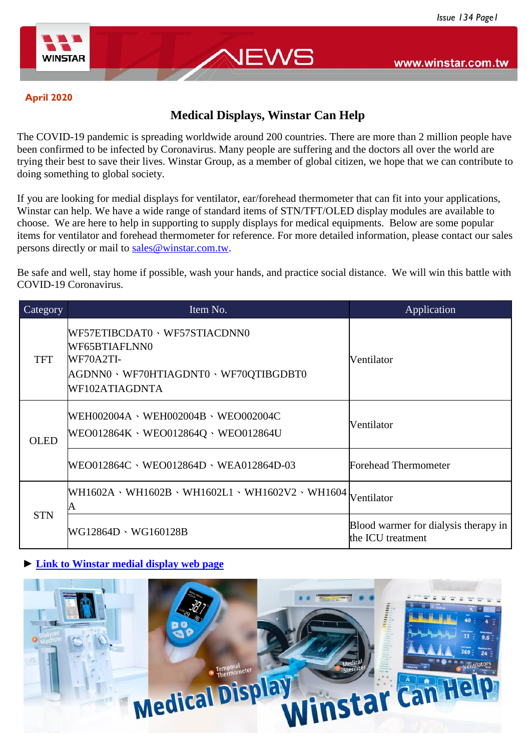

#### **April 2020**

# **Medical Displays, Winstar Can Help**

JEWS

The COVID-19 pandemic is spreading worldwide around 200 countries. There are more than 2 million people have been confirmed to be infected by Coronavirus. Many people are suffering and the doctors all over the world are trying their best to save their lives. Winstar Group, as a member of global citizen, we hope that we can contribute to doing something to global society.

If you are looking for medial displays for ventilator, ear/forehead thermometer that can fit into your applications, Winstar can help. We have a wide range of standard items of STN/TFT/OLED display modules are available to choose. We are here to help in supporting to supply displays for medical equipments. Below are some popular items for ventilator and forehead thermometer for reference. For more detailed information, please contact our sales persons directly or mail to [sales@winstar.com.tw.](https://www.winstar.com.tw/contact.html)

Be safe and well, stay home if possible, wash your hands, and practice social distance. We will win this battle with COVID-19 Coronavirus.

| Category    | Item No.                                                                                                          | Application                                               |
|-------------|-------------------------------------------------------------------------------------------------------------------|-----------------------------------------------------------|
| TFT         | WF57ETIBCDAT0、WF57STIACDNN0<br>WF65BTIAFLNN0<br>WF70A2TI-<br>AGDNN0、WF70HTIAGDNT0、WF70QTIBGDBT0<br>WF102ATIAGDNTA | Ventilator                                                |
| <b>OLED</b> | WEH002004A、WEH002004B、WEO002004C<br>WEO012864K · WEO012864Q · WEO012864U                                          | Ventilator                                                |
|             | $WEO 012864C \cdot WEO 012864D \cdot WEA 012864D-03$                                                              | <b>Forehead Thermometer</b>                               |
| <b>STN</b>  | WH1602A · WH1602B · WH1602L1 · WH1602V2 · WH1604 Ventilator<br>A                                                  |                                                           |
|             | WG12864D · WG160128B                                                                                              | Blood warmer for dialysis therapy in<br>the ICU treatment |

### **► [Link to Winstar medial display web page](https://www.winstar.com.tw/products/applications/medical-display.html)**

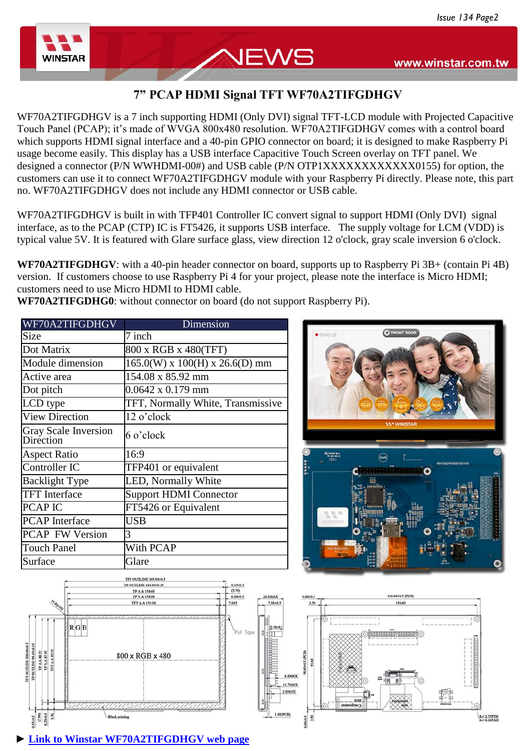

## **7" PCAP HDMI Signal TFT WF70A2TIFGDHGV**

NEWS

WF70A2TIFGDHGV is a 7 inch supporting HDMI (Only DVI) signal TFT-LCD module with Projected Capacitive Touch Panel (PCAP); it's made of WVGA 800x480 resolution. WF70A2TIFGDHGV comes with a control board which supports HDMI signal interface and a 40-pin GPIO connector on board; it is designed to make Raspberry Pi usage become easily. This display has a USB interface Capacitive Touch Screen overlay on TFT panel. We designed a connector (P/N WWHDMI-00#) and USB cable (P/N OTP1XXXXXXXXXXXXXX) for option, the customers can use it to connect WF70A2TIFGDHGV module with your Raspberry Pi directly. Please note, this part no. WF70A2TIFGDHGV does not include any HDMI connector or USB cable.

WF70A2TIFGDHGV is built in with TFP401 Controller IC convert signal to support HDMI (Only DVI) signal interface, as to the PCAP (CTP) IC is FT5426, it supports USB interface. The supply voltage for LCM (VDD) is typical value 5V. It is featured with Glare surface glass, view direction 12 o'clock, gray scale inversion 6 o'clock.

**WF70A2TIFGDHGV**: with a 40-pin header connector on board, supports up to Raspberry Pi 3B+ (contain Pi 4B) version. If customers choose to use Raspberry Pi 4 for your project, please note the interface is Micro HDMI; customers need to use Micro HDMI to HDMI cable.

**WF70A2TIFGDHG0**: without connector on board (do not support Raspberry Pi).

| WF70A2TIFGDHGV                           | Dimension                            |  |
|------------------------------------------|--------------------------------------|--|
| <b>Size</b>                              | 7 inch                               |  |
| Dot Matrix                               | 800 x RGB x 480(TFT)                 |  |
| Module dimension                         | $165.0(W)$ x $100(H)$ x $26.6(D)$ mm |  |
| Active area                              | 154.08 x 85.92 mm                    |  |
| Dot pitch                                | $0.0642 \times 0.179$ mm             |  |
| LCD type                                 | TFT, Normally White, Transmissive    |  |
| <b>View Direction</b>                    | 12 o'clock                           |  |
| <b>Gray Scale Inversion</b><br>Direction | 6 o'clock                            |  |
| <b>Aspect Ratio</b>                      | 16:9                                 |  |
| Controller IC                            | TFP401 or equivalent                 |  |
| <b>Backlight Type</b>                    | LED, Normally White                  |  |
| <b>TFT</b> Interface                     | <b>Support HDMI Connector</b>        |  |
| PCAP IC                                  | FT5426 or Equivalent                 |  |
| <b>PCAP</b> Interface                    | USB                                  |  |
| <b>PCAP FW Version</b>                   | 3                                    |  |
| <b>Touch Panel</b>                       | With PCAP                            |  |
| Surface                                  | Glare                                |  |







**► [Link to Winstar WF70A2TIFGDHGV web page](https://www.winstar.com.tw/products/tft-lcd/hdmi-tft-lcd/wf70a2tifgdh-ctp.html)**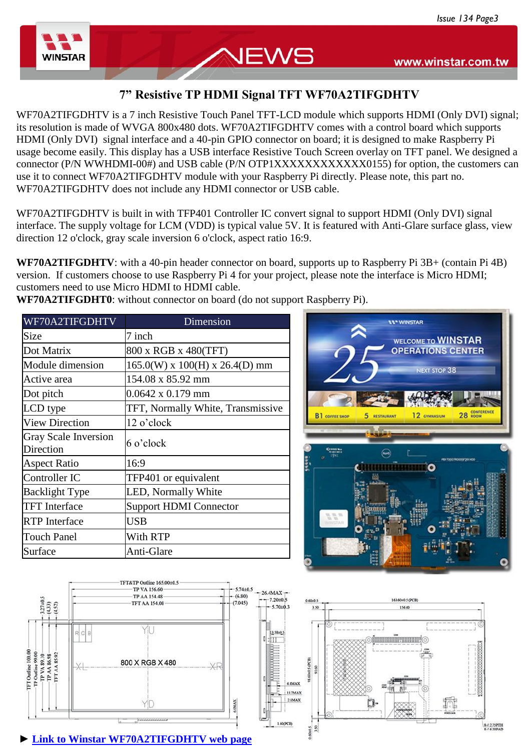

## **7" Resistive TP HDMI Signal TFT WF70A2TIFGDHTV**

NEWS

WF70A2TIFGDHTV is a 7 inch Resistive Touch Panel TFT-LCD module which supports HDMI (Only DVI) signal; its resolution is made of WVGA 800x480 dots. WF70A2TIFGDHTV comes with a control board which supports HDMI (Only DVI) signal interface and a 40-pin GPIO connector on board; it is designed to make Raspberry Pi usage become easily. This display has a USB interface Resistive Touch Screen overlay on TFT panel. We designed a connector (P/N WWHDMI-00#) and USB cable (P/N OTP1XXXXXXXXXXXXXX) for option, the customers can use it to connect WF70A2TIFGDHTV module with your Raspberry Pi directly. Please note, this part no. WF70A2TIFGDHTV does not include any HDMI connector or USB cable.

WF70A2TIFGDHTV is built in with TFP401 Controller IC convert signal to support HDMI (Only DVI) signal interface. The supply voltage for LCM (VDD) is typical value 5V. It is featured with Anti-Glare surface glass, view direction 12 o'clock, gray scale inversion 6 o'clock, aspect ratio 16:9.

**WF70A2TIFGDHTV:** with a 40-pin header connector on board, supports up to Raspberry Pi 3B+ (contain Pi 4B) version. If customers choose to use Raspberry Pi 4 for your project, please note the interface is Micro HDMI; customers need to use Micro HDMI to HDMI cable.

WF70A2TIFGDHTV Dimension Size 7 inch Dot Matrix  $\begin{array}{c|c}\n 800 \text{ x RGB } x \text{ 480(TFT)}\n \end{array}$ Module dimension  $165.0(W)$  x 100(H) x 26.4(D) mm Active area 154.08 x 85.92 mm Dot pitch  $0.0642 \times 0.179 \text{ mm}$ LCD type **TFT**, Normally White, Transmissive View Direction | 12 o'clock Gray Scale Inversion Birection 6 o'clock Aspect Ratio 16:9 Controller IC TFP401 or equivalent Backlight Type **LED**, Normally White TFT Interface Support HDMI Connector RTP Interface USB Touch Panel With RTP Surface Anti-Glare